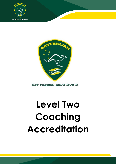



Get tagged, you'll love it

# **Level Two Coaching Accreditation**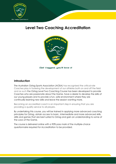

# **Level Two Coaching Accreditation**



### **Introduction**

The Australian Oztag Sports Association (AOSA) has recognised the critical role Coaches play in fostering the development of our athletes both on and off the field and as such the Oztag Level Two Coaching Course has been developed to provide Coaches who are passionate about the Game, have a desire to develop the skills of our young players and to provide a fun, safe environment where they are continually learning new skills and leave the session wanting more.

Becoming an accredited coach is an important step in ensuring that you are providing a quality service to all players.

By undertaking this course, you will be trained in applying more advanced coaching principles for Oztag, obtain access to basic, intermediate and more advanced skills, drills and games that are best suited to Oztag and gain an understanding to some of the Laws of the Game.

The course is delivered online with a 90% pass mark of the multiple-choice questionnaire required for Accreditation to be provided.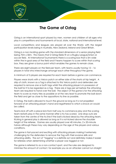

# **The Game of Oztag**

Oztag is an International sport played by men, women and children of all ages who play in competitions and tournaments at local, state, national and international level.

Local competitions and leagues are played all over the World, with the largest participation levels being in Australia, New Zealand, Ireland and Great Britain.

Oztag is a non-tackling game with the standard dimensions of a senior playing field being 70m x 50m. This means that 2 Oztag fields fit on a Rugby League/Union or soccer field. At International Tournaments there is a scoring box that is 5m wide within the in-goal area of the field and if teams happen to score within that scoring box, they are given a bonus point which enables the games to remain close.

There are eight players on the field per team, with teams usually having 12 – 16 players in total who interchange amongst each other throughout the game.

A minimum of 5 players are required for each team before a game can commence.

Players wear shorts with a Velcro patch on either side of the shorts at hip height. A strip of cloth, known as a Tag is attached to this Velcro patch and defenders are required to remove one or both tags whilst the attacking player is in possession of the ball for it to be regarded as a tag. There are 6 tags per set before the attacking team are required to hand over the ball. The object of the game is for the attacking team to score as many tries as possible or at the very least to promote the ball down the field and get as close to the oppositions try line as possible.

In Oztag, the ball is allowed to touch the ground as long as it is not propelled forward of an attacking player's hand and regathered to which a knock on would be called.

Teams kick off with a place kick from half way to commence play and the scoring team restarts play in the same manner after a try has scored. Line drop-outs are taken from the centre of the try line if the ball is kicked dead by the attacking team. Kicking in general play is allowed as long as it is not kicked above the shoulder height of the referee. Games are usually played over 40 minutes, 2 x 20-minute halves although these may vary depending on the age of the players and various conditions.

The game is fast-paced and exciting with attacking players making it extremely challenging for the defenders to remove the Tag with their evasive skills and attacking ability. The act of "tagging" is a definite act and definitely makes it easier for referees when determining whether a player was tagged or not.

The game is referred to as a non-contact sport, and the rules are designed to minimise the amount of contact, for example you as an attacker cannot run straight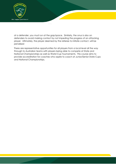

at a defender, you must run at the gap/space. Similarly, the onus is also on defenders to avoid making contact by not impeding the progress of an attacking player. Ultimately, the player deemed by the referee to initiate contact, will be penalised

There are representative opportunities for all players from a local level all the way through to Australian teams with players being able to compete at State and National Championships as well as World Cup Tournaments. This course aims to provide accreditation for coaches who aspire to coach at Junior/Senior State Cups and National Championships.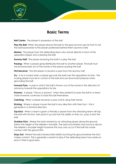

## **Basic Terms**

**Ball Carrier:** The player in possession of the ball

**Play the Ball:** When the player places the ball on the ground and uses his foot to roll the ball backwards to the player positioned behind them (dummy half)

**Marker:** The player from the defending team who stands directly in front of the opposition player who is playing the ball

**Dummy Half:** The player receiving the ball in a play the ball

**Passing:** When a player gives/distributes the ball to another player. The ball must travel backwards out of the hands of the person passing the ball

**First Receiver:** The first player to receive a pass from the dummy half

**Try:** A try is scored when a player grounds the ball over the oppositions try line. The scoring player must be in control of the ball and use downward pressure when grounding the ball

**Forward Pass:** A pass in which the ball is thrown out of the hands in the direction of advance towards the oppositions try line

**Dummy:** A player "throws a dummy" when they pretend to pass the ball to a team mate however continues to hold the ball themselves

**Catching:** When a player receives a pass or kick using their hands

**Kicking:** Where a player moves the ball in any direction with their foot – this is generally in a forward direction.

**Tap Kick:** When a team is given a Penalty a player from the attacking team will tap the ball with his foot, then picks it up and has the ability to then run, pass or kick the ball.

**Grubber Kick:** Where the ball is kicked by an attacking player along the ground, below the height of the referee's shoulder. The ball once kicked may bounce above the referee's shoulder height however this may only occur if the ball has made contact with the ground first

**Drop Out:** Where the ball is kicked after briefly touching the ground before the foot makes contact. This is generally a restart of play if the defending team has made an error in their in-goal area.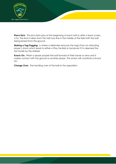

**Place Kick:** This kick starts play at the beginning of each half or after a team scores a try. The kick is taken from the half-way line in the middle of the field with the ball being kicked from the ground.

**Making a Tag/Tagging:** Is where a defender removes the tag/s from an attacking player's shorts which leads to either a Play the Ball or handover if it is deemed the last tackle by the referee

**Knock On:** When a player propels the ball forward of their hands or arms and it makes contact with the ground or another player. This action will constitute a Knock On

**Change Over:** The handing over of the ball to the opposition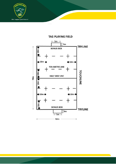



## TAG PLAYING FIELD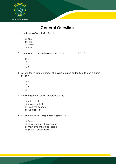

## **General Questions**

- 1. How long is a Tag playing field?
	- a) 50m
	- b) 70m
	- c) 100m
	- d) 65m
- 2. How many tags should a player wear to start a game of Tag?
	- a) 1
	- b) 0
	- c) 3
	- d) 2
- 3. What is the minimum number of players required on the field to start a game of Tag?
	- a) 8
	- b) 6
	- c) 5
	- d) 4
- 4. How is a game of Oztag generally started?
	- a) A tap start
	- b) A play the ball
	- c) A centre bounce
	- d) A place kick
- 5. How is the winner of a game of Tag decided?
	- a) Referee
	- b) Least amount of tries scored
	- c) Most amount of tries scored
	- d) Scissors, paper, rock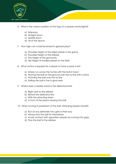

- 6. What is the correct position of the tags on a players shorts/tights?
	- a) Sideways
	- b) Straight down
	- c) Upside down
	- d) All of the above
- 7. How high can a ball be kicked in general play?
	- a) Shoulder height of the tallest player in the game
	- b) Shoulder height of the referee
	- c) The height of the goal posts
	- d) Hip height of smallest player on the field
- 8. What action is required for a player to have scored a try?
	- a) Simply run across the try line with the ball in hand
	- b) Placing the ball on the ground over the try line with control
	- c) Throwing the ball over the try line
	- d) Rolling the ball in the in-goal area
- 9. Where does a Marker stand in the defensive line?
	- a) Right next to the referee
	- b) Behind the defensive line
	- c) With the attacking team
	- d) In front of the person playing the ball
- 10. When running in possession of the ball, attacking players should?
	- a) Run at any defender who gets in their way
	- b) Always kick the ball for themselves
	- c) Avoid contact with opposition players by running into gaps
	- d) Pass the ball to the referee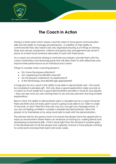

# **The Coach in Action**

Oztag is a team sport which means coaches need to have good communication skills and the ability to manage all participants. In addition to their ability to communicate they also need to be very organized ensuring such things as training times and venues, equipment, uniforms and game day arrangements are all set in place or at least have someone allocated to assist with these issues.

As a coach you should be aiming to motivate your players, provide them with the correct information and teaching points that will allow them to train effectively and improve their performance as an individual and a team.

Things to consider when coaching players is

- Do I have the players attention?
- Am I explaining the skill/drill correctly?
- Do the players understand my explanation?
- Is the terminology and skill/drill age appropriate?

A huge plus for any coach is the ability to be able to demonstrate well – this would be considered a priceless gift. Not only does a good explanation make your job as a coach so much easier but a good demonstration provides a visual for your players – they can see what you are wanting them to do and also prevents the long-winded explanations.

Bear in mind, the ability to demonstrate well is a valuable tool as a coach however there are limits and not every sprint coach is going to be able to run 100m in under 10 seconds, so don't feel this is the only way you can get your message across. If you are not feeling confident, consider a preselected demonstrator, allow the players to try themselves or by using visual aids to assist with the demonstration.

The primary role for any good coach is to ensure the players have the opportunity to enjoy an environment where there is an emphasis on having fun, making friends and developing fundamental skills. If this is done right then this will result in positive gains in the development of all the players and a greater chance in those players wanting to come back and play/train each and every week.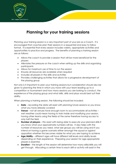

Planning your training session is a very important part of your job as a Coach. It is encouraged that coaches plan their sessions in a sequential and easy to follow format. It is essential that every session includes variety, appropriate activities and opportunities to practice and progress. The benefits of planning a training session are as follows:

- Allows the coach to provide a session that will be more beneficial for the players
- Alleviates the pressure on the coach when setting up the drills and organizing participants
- Allows for maximum use of time to run the session
- Ensures all resources are available when required
- Includes all players in the drills and activities
- Provides challenging activities that allows for a progressive development of the playing group

Not only is it important to plan your training sessions but consideration should also be given to planning the time in which you have with your team leading up to a competition or tournament and how many sessions you are looking to conduct, the experience of the playing group and what skills, drills and plays would best suit their ability.

When planning a training session, the following should be included:

- **Date** recording the date will assist with planning future sessions so you know what you have already covered
- **Venue** not all venues have enough room to accommodate all activities wet weather could mean having to train inside and modifying your session, having other teams using the fields at the same therefore having access to only half the field
- **Number of players** this assist with being able to execute your planned drills if you know what your approximate numbers will be. It also helps with the number of resources you need, what size groups you will be using and if you intend on having a game scenario either amongst the squad or against opposition whether this becomes viable for what you are hoping to achieve
- **Age/Ability** different ages will have different skill levels and ability levels depending on their experience. Preparing your session for age-appropriate players is essential.
- **Duration** the length of the session will determine how many skills/drills you will get through. Allocating a certain time to each drill or activity will assist in the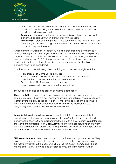

flow of the session. This also means flexibility as a coach is important, if an activity/drill is not working then the ability to adjust and revert to another activity/drill will serve you well.

- **Equipment** knowing what resources you require and have used for each activity will enable you when planning for future sessions
- **Introduction** providing the players with a summary of the session, what you are hoping to achieve throughout the session and what is expected from the players throughout the session

Whilst planning your session will assist you in being prepared and confident as to what you are going to do with your team, taking the time throughout the planning phase to know which activities/drills would be most appropriate for your team will create an element of "fun" for the players especially if the players are younger. Having said that, even older players like to have fun so a variety of drills and activities need to be considered.

Consider some of the following when deciding what the session might look like:

- High amounts of Game Based activities
- Having a variety of activities and modifications within the activities
- Minimize the amount of instruction and interference
- Provide the ability for a high level of success
- Allow the players to have input into their experience

The types of activities can be broken down into 3 categories:

**Closed activities** – these allow players to practice skills in an environment that has no external pressure. These are best done when trying to teach players a new skill and is often overlooked by coaches – it is one of the key aspects of any coaching to ensure the skill can be performed adequately in a closed situation before progressing to an Open Activity or Skill Biased Games.

**Open Activities –** these allow players to practice skills in an environment that provides external pressures. An example could be a 2 v 1 drill where the closed activity would see the 2 attackers perform the skill with a pole/marker as a defender. This would then progress to an **Open Activity** with the players actually performing the drill against a defending player and having to make decisions as to the type of pass or dummy that is required based on what the defender does.

**Skill Biased Games –** these allows players to practice skills in a game situation. They have the external pressures of opposition players, have the chance to perform the skill regularly throughout the game whilst making the activity competitive. It also means other skills will be used and developed throughout the games further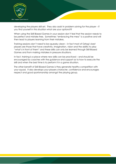

developing the players skill set. They also assist in problem solving for the player – if you find yourself in this situation what are your options??

When using the Skill Biased Games in your session don't feel that the session needs to be perfect and mistake free. Sometimes "embracing the mess" is a positive and will then lead to players learning from their mistakes.

Training sessions don't need to be squeaky clean – in fact most of Oztag's best players are those that have creativity, imagination, vision and the ability to play "what's in front of them" and these skills can only be learned through Skill Biased Games and from making mistakes in pressure situations.

In fact, training is a place where new skills can be practiced – and should be encouraged by coaches with the guidance and support as to how to execute the skill and when the best time is to perform it in a game situation.

The other benefit of Skill Biased Games is they generate healthy competition with your squad. It also develops your players character, confidence and encourages respect and good sportsmanship amongst the playing group.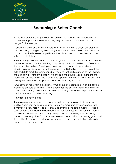

# **Becoming a Better Coach**

As we look beyond Oztag and look at some of the most successful coaches, no matter what sport it is, there is one thing they all have in common and that is a hunger for knowledge.

Coaching is an ever-evolving process with further studies into player development and coaching strategies regularly being made available online and not unlike our players, coaches have a competitive nature about them that sees them want to strive to be their best.

The role you play as a Coach is to develop your players and help them improve their performances and be the best they can possibly be, this should be no different for the coach themselves. Developing as a coach is a constant cycle, where identifying a weakness with your team or individual is the first step, working out the skills or drills to assist the team/individual improve that particular part of their game, then assessing or reflecting as to how beneficial the skill/drill was in improving that weakness. Understanding this process and applying it at your training sessions, and seeing the benefits of this application is what coaching is about.

Anybody can read from a booklet or jump online and compile a list of drills for the players to execute at training. A real coach has the ability to identify weaknesses, adjust their thinking and improve that skill set. It may take time to improve the skill set but it is an essential part of coaching.

How does a coach learn?

There are many ways in which a coach can learn and improve their coaching ability. Again your coaching ability is not always measured by your win/loss ratio although it is very hard not to be consumed by that considering most professional sport coaches are hired and fired based on their team results – for some of them it may be warranted, for others it may be a process that is taking time and really depends on many other factors as to where you started with your playing group and the ability of your squad and how long you as a coach need with this particularly group to get the competitive.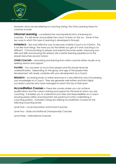

However, since we are referring to coaching Oztag, the 2 Key Learning Areas for coaches include:

**Informal Learning** – considered the most beneficial form of learning for coaches. It is self-driven and enables the coach to learn on the run. Some of the key ways in which this type of Learning in developed is through:

**EXPERIENCE** – the most effective way to become a better Coach is to COACH. This is not like most things, the more you do the better you get at it and coaching is no different. Communicating to players and parents becomes easier, improving your drills and skills and ensuring the sessions are a better learning experience for the players becomes second nature.

**OTHER COACHES** – networking and learning from other coaches either visually or by seeking advice and support.

**PLAYERS** – You can learn so much from players and this should never be underestimated. Depending on the group and age of the players their development will closely correlate with your development as a Coach

**RESEARCH** – accessing books or online resources is a very effective way of increasing your knowledge as a Coach. They are generally well written and from highly successful coaches who have managed to reach the top of their sport.

**Accreditation Courses –** these are courses where you can achieve qualifications and the correct training and support for the level at which you are coaching. It enables you to understand your roles and responsibilities as a coach ensuring player safety and enjoyment are paramount when undertaking a coaching position. Australian Oztag are offering Accreditation Courses for the following Coaching Levels:

Level One – Local Association and School Coaches

Level Two – State and National Championship Coaches

Level Three – International Coaches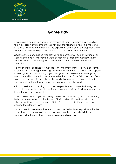

## **Game Day**

Developing a competitive spirit is the essence of sport. Coaches play a significant role in developing this competitive spirit within their teams however it is imperative this desire to win does not come at the expense of your players development, their willingness to enjoy the sport and to feel a part of a team environment.

Coaches should encourage their players to be competitive, be it at training or on Game Day however this should always be done in a respectful manner with the emphasis being placed on good sportsmanship rather than a win at all cost mentality.

It is important for coaches to emphasis to their teams that there are two outcomes of competing – Winning and Losing. That is not only the nature of sport but it applies to life in general. We are not going to always win and we are not always going to lose but we will continue to compete whether it's on or off the field. You as a Coach have a great responsibility to shape the mindset of your players in understanding and accepting the outcomes of games no matter what the result.

This can be done by creating a competitive practice environment allowing the players to continually compete against each other providing feedback focused on their effort and improvement.

It can also be done by you modelling positive behaviour with your players learning traits from you whether you like it or not. This includes attitudes towards match officials, decisions made by match officials (good, bad or indifferent) and not blaming them for any loses.

It is ok to want to win every time you run onto the field or training paddock, it's the acceptance that you may lose and how you play the game which is to be emphasized with a constant focus on learning and growing.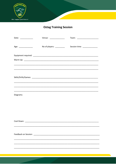

**Oztag Training Session** 

| Date: $\frac{1}{\sqrt{1-\frac{1}{2}}\cdot\frac{1}{2}}$ | Venue: _______________                                      |                                |
|--------------------------------------------------------|-------------------------------------------------------------|--------------------------------|
| Age: ____________                                      | No of players: __________                                   | Session time: ________________ |
|                                                        |                                                             |                                |
|                                                        |                                                             |                                |
|                                                        | <u> 1990 - Johann Stoff, amerikansk politik (d. 1980)</u>   |                                |
|                                                        |                                                             |                                |
|                                                        |                                                             |                                |
|                                                        |                                                             |                                |
|                                                        | <u> 1989 - Johann Stoff, amerikansk politiker (d. 1989)</u> |                                |
| Diagrams:                                              |                                                             |                                |
|                                                        |                                                             |                                |
|                                                        |                                                             |                                |
|                                                        |                                                             |                                |
| Cool Down:                                             |                                                             |                                |
|                                                        |                                                             |                                |
|                                                        |                                                             |                                |
|                                                        |                                                             |                                |
|                                                        |                                                             |                                |
|                                                        |                                                             |                                |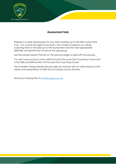

## **Assessment task**

Prepare a 4-week training plan for your team leading up to the NSW Junior State Cup. You choose the age of your team, the number of sessions you will be coaching them in the lead up to the tournament and the most appropriate drills/skills and games that would suit this age group.

Use the Sample Session Planner on the previous page to assist with the process.

You also have access to many drills from both the Level One Coaching Course and in the Skills and Drills section of the Level Two Coaching Course.

The Australian Oztag website also provides all coaches with an online resource with videos and explanations of drills that suit players across all levels.

Email your Training Plan to [mick@oztag.com.au](mailto:mick@oztag.com.au)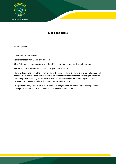

## **Skills and Drills**

**Warm Up Drills**

**Quick Release Catch/Pass**

**Equipment required:** 6 markers, 2 x football

**Aim:** To improve communication skills, hand/eye coordination and passing under pressure

Action: Players in a circle, 1 ball starts at Player 1 and Player 2.

Player 2 throws the ball in the air whilst Player 1 passes to Player 2. Player 2 catches and passes ball received from Player 1 onto Player 3. Player 2's ball that was tossed into the air is caught by Player 2 and then passed onto Player 3 who has tossed first ball received into the air and passes 2<sup>nd</sup> ball received onto Player 4 – and the drill continues around the circle.

**Progression:** Change direction, players stand in a straight line with Player 1 after passing the ball having to run to the end of line and so on, add a clap in between passes.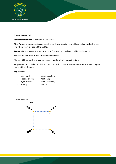

#### **Square Passing Drill**

#### **Equipment required:** 4 markers, 4 – 5 x footballs

**Aim:** Players to execute catch and pass in a clockwise direction and will run to join the back of the line where they just passed the ball to.

**Action:** Markers placed in a square approx. 8 m apart and 3 players behind each marker.

This can then be done in an anti-clockwise direction

Players will then catch and pass on the run – performing in both directions

Progression: Add 2 balls into drill, add a 3<sup>rd</sup> ball with players from opposite corners to execute pass in the middle of square.

#### **Key Aspects**

- 
- Early catch Communication
- Passing on run Positioning
- Type of pass  **Hand Positioning**
- Timing Evasion
	-

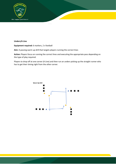

#### **Unders/A Line**

#### **Equipment required:** 6 markers, 2 x football

**Aim:** A passing warm up drill that targets players running the correct lines

**Action:** Players focus on running the correct lines and executing the appropriate pass depending on the type of play required.

Players to drop off at one corner (A Line) and then run an unders picking up the straight runner who has to get their timing right from the other corner.

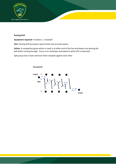

#### **Passing Drill**

#### **Equipment required:** 4 markers, 1 x football

**Aim:** Passing drill focusing on quick hands and accurate passes

**Action:** A competitive game where a coach is at either end of the line and players are passing the ball whilst running through. Focus is on catch/pass and speed at which this is executed.

Split group into 2 team and have them compete against each other

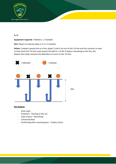

#### **3 v 2**

**Equipment required:** 7 Markers, 1 x football

**Aim:** Players to execute plays in a 3 v 2 situation

**Action:** 5 players spaced out on a line, player 2 and 4 run out to the 7m line and turn around, as soon as they touch the 7m line coach passes the ball to 1 of the 3 players remaining on the line, the players then draw and pass the defenders to score on the 7m line.



#### **Key Aspects**

- Early catch
- Footwork Passing on the run
- Type of pass Short/long
- Communication
- Positioning when receiving pass Unders /overs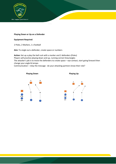

#### **Playing Down or Up on a Defender**

#### **Equipment Required**:

2 Poles, 2 Markers, 1 x football

**Aim:** To single out a defender, create space or numbers

**Action:** Set up a play the ball ruck with a marker and 2 defenders (Poles) Players will practice playing down and up, running correct lines/angles The attacker's job is to move the defenders to create space – eye contact, start going forward then change your angle & tempo.

Communication – relay the message - do your attacking partners know their role?

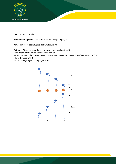

#### **Catch & Pass on Marker**

**Equipment Required:** 12 Markers & 1 x Football per 4 players

**Aim:** To improve catch & pass skills while running

**Action:** 4 Attackers carry the ball to the marker, playing straight Each Player must draw and pass on the marker When they reach the orange marker, players swap markers so you're in a different position (i.e Player 1 swaps with 2) When ready go again passing right to left.

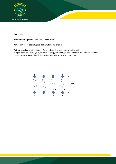

#### **Kamikaze**

#### **Equipment Required:** 8 Markers, 2 x Footballs

**Aim:** To improve catch & pass skills while under pressure

**Action:** attackers on the marker, Player 1 in each group starts with the ball Simple catch pass waves, Players must look up, run the right line and chose when to pass the ball Once the wave is completed, the next group must go, at the same time

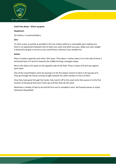

#### **Catch Pass Relay – Warm up game**

#### **Equipment:**

20 markers, 4 coaches/helpers,

#### **Aim:**

To catch a pass as quickly as possible in the one motion while at a reasonable pace making sure there is no adjustment between that of when you catch and when you pass. Make sure your weight is balanced and grip is correct so you could throw a dummy if you needed too.

#### **Action:**

Place 4 markers opposite each other 10m apart. Then place 1 marker about 1m to the side of those 2 horizontal lines of 4 and 5m towards the middle forming a hexagon shape.

Mirror this about 15m apart on the opposite side of the field. These 2 teams of 8 will race against each other.

One of the coach/helpers starts by passing it to the first player closest to them in the groups of 4, They go through the hands running straight towards the other markers in front of them.

Once they have gone through the hands, they hand it off to the coach who then passes it to the first receiver of the group that hasn't had a go and then they do the same.

Nominate a number of laps to do and the first one to complete it wins. No forward passes or drops otherwise disqualified.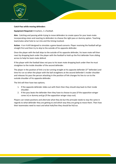

#### **Catch Pass while moving defenders**

#### **Equipment Required:** 8 markers, 1 x football.

**Aim:** Catching and passing while trying to move defenders to create space for your team mate. incorporating vision and reacting to defenders to choose the right pass or dummy option. Teaching teammates what hole to run into and the timing involved.

**Action:** 4 on 4 drill designed to simulate a game-based scenario. Player receiving the football will go straight first and then try to skip to the outside of his opposite defender.

Once the player with the ball skips to the outside of his opposite defender, his team mate will then react by dropping back under the player with the football to hold up the first defender from sliding across to help his team mate defend.

If the player with the football does not pass to his team mate dropping back under then he must straighten to the inside shoulder of the second defender.

The player in the position of link is to be running straight at his opposite defender ( $3<sup>rd</sup>$  defender) and time his run so when the player with the ball straightens at the second defender's insider shoulder and releases his pass the person attacking in the position of link changes his line to run to the outside shoulder of his opposite defender.

The link will then have two options;

- 1. If the opposite defender slides out with them then they should step back to their inside shoulder.
- 2. If the pass beats the defender then they have to choose to pass (if the opposition winger cones in) or dummy and go (if the opposition winger stays out).

Players can rotate positions and alternate what they do but the principle needs to stay the same in regards to what defender they are getting to and which way they are going to move them. Then how their teammates need to react and what hole/line they should be hit/run.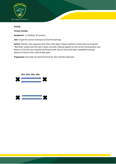

#### **Kicking**

**Partner Kicking**

**Equipment**: 1 x football, 10 markers

**Aim:** To get the correct technique to kick the ball long

Action: Partners start opposite each other 10m Apart. Players perform 5 Kicks each ensuring the "Ball drop" action onto the foot is done correctly. Educate players on the correct hand position and where on the foot you should be kicking the ball. Once 5 kicks have been completed increase distance of kick to 20m, 30m & 40m apart

**Progression:** kick with non dominant foot for 10m and 20m distances

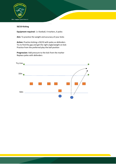

#### **50/10 Kicking**

**Equipment required**: 1 x football, 4 markers, 6 poles

**Aim:** To practice the weight and accuracy of your kicks

**Action:** Practice kicking a 50/10 with poles as defenders Try to find the gap and get the right angle/weight on kick Practice from the preferred play the ball position

**Progression:** Add pressure to the kick from the marker Replace poles with defenders

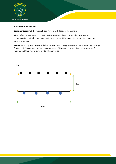

#### **6 attackers v 4 defenders**

**Equipment required:** 1 x football, 10 x Players with Tags on, 4 x markers

**Aim:** Defending team works on maintaining spacing and working together as a unit by communicating to their team mates. Attacking team get the chance to execute their plays under time constraints.

**Action:** Attacking team tests the defensive team by running plays against them. Attacking team gets 3 plays at defensive team before restarting again. Attacking team maintains possession for 2 minutes and then rotate players into different roles.

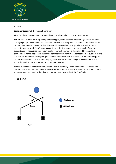

#### **A - Line**

#### **Equipment required:** 1 x football, 5 markers

**Aim:** For players to understand roles and responsibilities when trying to run an A-Line

**Action:** Ball Carrier aims to square up defending player and changes direction – generally an overs line trying to get the defender to chase hard to execute the tag. Outside support runner waits until he sees the defender chasing hard and looks to change angles, cutting under the ball carrier. Ball carrier to provide a soft "pop" pass making it easier for the support runner to catch. Once the support runner has gained possession, the line in which they run is determined by the defensive team - either runs a hook line if the inside defender is not tying in or uses footwork to cut back inside if the inside defender is closing the gap. Support runner can also look to link up with other support runners on the other side of where the play was executed – maintaining the ball in two hands and giving themselves numerous options to continue the play.

Tempo of the initial ball carrier is important – has to definitely attract the defender to chase him hard – if this fails to happen then the ball carrier then looks to execute an Overs 2 v 1 situation with support runner maintaining their line and hitting the Gap outside of the B Defender

## A Line

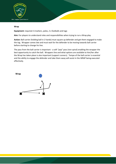

#### **Wrap**

**Equipment:** required: 6 markers, poles, 2 x footballs and tags

**Aim:** For players to understand roles and responsibilities when trying to run a Wrap play

**Action:** Ball carrier (holding ball in 2 hands) must square up defender and get them engaged to make the tag. Wrapper comes late and must wait for the defender to be moving towards ball carrier before starting to change his line.

The pass from the ball carrier is important - a soft "pop" pass (non spiral) enabling the wrapper the best opportunity to catch the ball. Wrappers line and what options are available to him/her after the Wrap has taken place is also important (support runners). Tempo of the ball carrier is essential and the ability to engage the defender and take them away will assist in the WRAP being executed effectively.

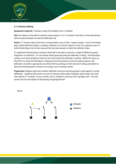

#### **3 v 2 Decision Making**

**Equipment required:** 5 markers, poles (if available) and 1 x football

**Aim:** For players to be able to execute various plays in a 3 v 2 situation and then as they develop be able to execute based on what the defenders do

Action: 1<sup>st</sup> receiver plays at the line running Unders Line on Pole. Support player 1 and 2 are hitting gaps, whilst defensive player is making a decision as to which support runner he is going to pass to and the ball player has to then execute the best play based on what the defender does.

It's important the ball player positions themself to be able to execute a range of different passes, long/short or soft/hard. It is not always about guessing what the defender is doing - the ball player needs to use their peripheral vision to see what action the defender is taking. Whilst the focus on the drill is on what the ball player is doing and the lines being run by the support players, the defenders are able to get plenty out of the drill by working on their decision making and ability to deny the attacking team a chance at scoring a try or making a break.

**Progression:** Replace pole with another defender and have attacking players work against 2 active defenders. Suddenly ball carrier can start to execute other plays including: quick hands, face ball, short ball to  $2<sup>nd</sup>$  receiver, A Line, A with a tip on, Double A, Dummy A for a grubber kick. The ball carrier also has the option of dummying and going himself.



 $3v2$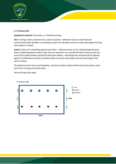

#### **5 v 5 Fitness Drill**

#### **Equipment required:** 20 markers, 1 x football and tags

**Aim:** To bring a fitness element into a Game situation – defenders have to work hard and communicate while attackers are looking to assess the situation and aim to take advantage of having extra players in attack

**Action:** Teams of 5 competing against each other – defensive team are at a disadvantage because when a defending player makes a tag, they are required to run outside the field of play around any one of the 6 poles/markers positioned along the sideline. Attacking team will generally be playing against 3-4 defenders therefore should be able to execute some plays and take advantage of the extra numbers.

The defensive team has to work together, and also be able to adjust defensively once players come back from running around the poles.

Normal Oztag rules apply

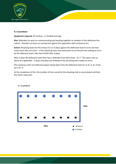

#### **8 v Countdown**

**Equipment required:** 20 markers, 1 x football and tags

**Aim:** Defenders to work on communicating and working together as numbers in the defensive line reduce. Attackers to focus on scoring tries against the opposition with minimal errors.

**Action:** Attacking team has the chance to run 3 plays against the defensive team 8 v 8 to see how many times they can score – if the attacking team lose possession or are forced into making an error by the defensive team, they then forfeit their 3 plays.

After 3 plays the defensive team then lose a defender from their team  $-8$  v 7. The same rules as above are applicable – 3 plays and plays are forfeited if the attacking team makes an error.

This continues with one defensive player being taken from the defensive team 8 v 6, 8 v 5, 8 v 4 last set is 8 v 3.

At the completion of this, the number of tries scored by the attacking side is accumulated and then the teams swap over.



8 y Countdown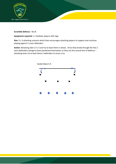

#### **Scramble defence – 5 v 5**

**Equipment required:** 1 x football, players with tags

**Aim:** 5 v 3 attacking scenario which then encourages attacking players to support and continue playing against 2 cover defenders

**Action:** Attacking side is 5 v 3 and try to beat them in attack. Once they break through the line 2 extra defenders (wingers) have positioned themselves so they are the second line of defence – attacking team try to beat these 2 defenders to score a try

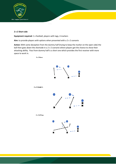

#### **2 v 2 Short side**

**Equipment required:** 1 x football, players with tags, 4 markers

**Aim:** to provide players with options when presented with a 2 v 2 scenario

**Action:** With some deception from the dummy half (trying to keep the marker on the open side) the ball then goes down the shortside in a 2 v 2 scenario where players get the chance to show their attacking ability. Pass from dummy half is a short one which provides the first receiver with more space to work in.

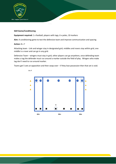

#### **Skill Game/Conditioning**

**Equipment required:** 1 x football, players with tags, 6 x poles, 10 markers

**Aim:** A conditioning game to test the defensive team and improve communication and spacing

#### **Action:** 8 v 7

Attacking team - Link and winger stay in designated grid, middles and rovers stay within grid, one middle is a rover and can go in any grid.

Defensive Team – wingers must stay in grid, other players can go anywhere, once defending team makes a tag the defender must run around a marker outside the field of play. Wingers who make tag don't need to run around marker.

Teams get 5 sets at opposition and then swap over – if they lose possession then that set is void.



 $8v7$